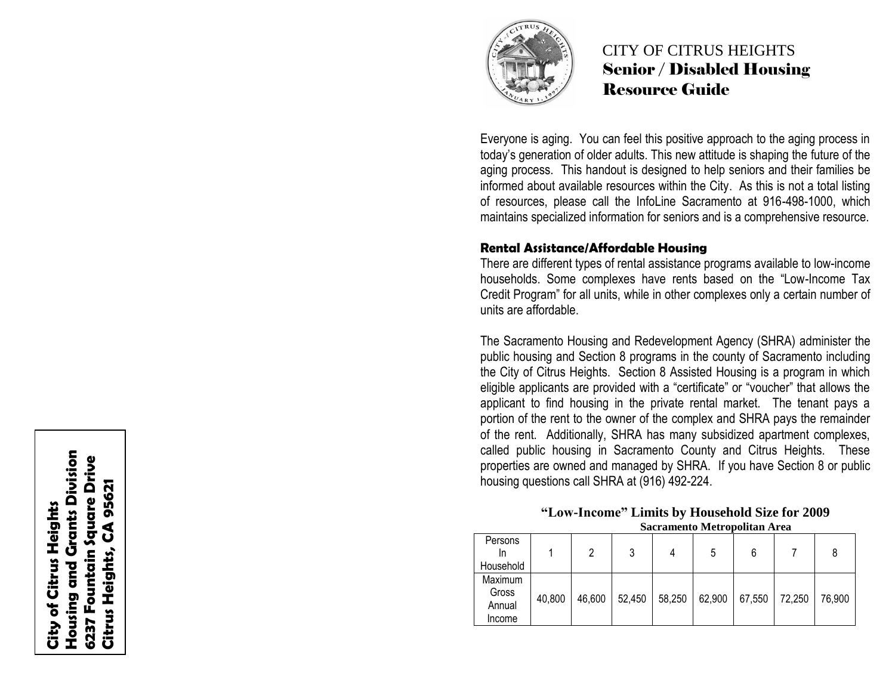

# CITY OF CITRUS HEIGHTS Senior / Disabled Housing Resource Guide

Everyone is aging. You can feel this positive approach to the aging process in today's generation of older adults. This new attitude is shaping the future of the aging process. This handout is designed to help seniors and their families be informed about available resources within the City. As this is not a total listing of resources, please call the InfoLine Sacramento at 916 -498 -1000, which maintains specialized information for seniors and is a comprehensive resource.

### **Rental Assistance/Affordable Housing**

There are different types of rental assistance programs available to low -income households. Some complexes have rents based on the "Low -Income Tax Credit Program" for all units, while in other complexes only a certain number of units are affordable.

The Sacramento Housing and Redevelopment Agency (SHRA) administer the public housing and Section 8 programs in the county of Sacramento including the City of Citrus Heights. Section 8 Assisted Housing is a program in which eligible applicants are provided with a "certificate" or "voucher" that allows the applicant to find housing in the private rental market. The tenant pays a portion of the rent to the owner of the complex and SHRA pays the remainder of the rent. Additionally, SHRA has many subsidized apartment complexes, called public housing in Sacramento County and Citrus Heights. These properties are owned and managed by SHRA. If you have Section 8 or public housing questions call SHRA at (916) 492 -224.

#### **"Low -Income" Limits by Household Size for 2009 Sacramento Metropolitan Area**

| Persons<br>In |        | 2      | າ      | 4      | 5      | 6      |        | 8      |
|---------------|--------|--------|--------|--------|--------|--------|--------|--------|
| Household     |        |        |        |        |        |        |        |        |
| Maximum       |        |        |        |        |        |        |        |        |
| Gross         | 40,800 | 46,600 | 52,450 | 58,250 | 62,900 | 67,550 | 72,250 | 76,900 |
| Annual        |        |        |        |        |        |        |        |        |
| Income        |        |        |        |        |        |        |        |        |

**Housing and Grants Division Housing and Grants Division** 6237 Fountain Square Drive **6237 Fountain Square Drive** 95621 **Citrus Heights, CA 95621**City of Citrus Heights **City of Citrus Heights** Citrus Heights, CA